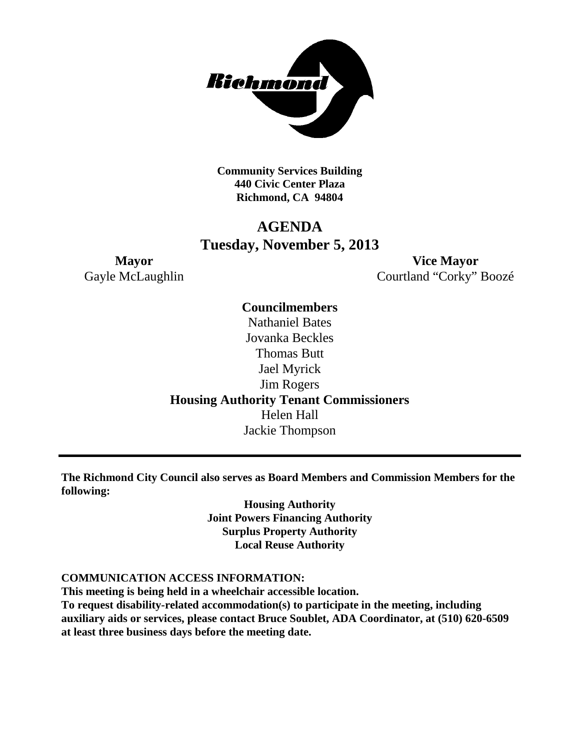

**Community Services Building 440 Civic Center Plaza Richmond, CA 94804**

# **AGENDA Tuesday, November 5, 2013**

**Mayor Vice Mayor** Gayle McLaughlin Courtland "Corky" Boozé

> **Councilmembers** Nathaniel Bates Jovanka Beckles Thomas Butt Jael Myrick Jim Rogers **Housing Authority Tenant Commissioners** Helen Hall Jackie Thompson

**The Richmond City Council also serves as Board Members and Commission Members for the following:**

> **Housing Authority Joint Powers Financing Authority Surplus Property Authority Local Reuse Authority**

#### **COMMUNICATION ACCESS INFORMATION:**

**This meeting is being held in a wheelchair accessible location. To request disability-related accommodation(s) to participate in the meeting, including auxiliary aids or services, please contact Bruce Soublet, ADA Coordinator, at (510) 620-6509 at least three business days before the meeting date.**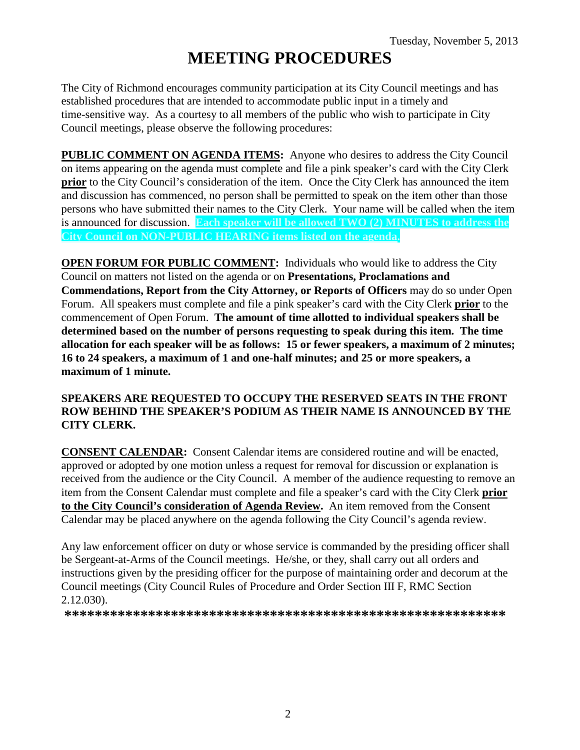# **MEETING PROCEDURES**

The City of Richmond encourages community participation at its City Council meetings and has established procedures that are intended to accommodate public input in a timely and time-sensitive way. As a courtesy to all members of the public who wish to participate in City Council meetings, please observe the following procedures:

**PUBLIC COMMENT ON AGENDA ITEMS:** Anyone who desires to address the City Council on items appearing on the agenda must complete and file a pink speaker's card with the City Clerk **prior** to the City Council's consideration of the item. Once the City Clerk has announced the item and discussion has commenced, no person shall be permitted to speak on the item other than those persons who have submitted their names to the City Clerk. Your name will be called when the item is announced for discussion. **Each speaker will be allowed TWO (2) MINUTES to address the City Council on NON-PUBLIC HEARING items listed on the agenda.**

**OPEN FORUM FOR PUBLIC COMMENT:** Individuals who would like to address the City Council on matters not listed on the agenda or on **Presentations, Proclamations and Commendations, Report from the City Attorney, or Reports of Officers** may do so under Open Forum. All speakers must complete and file a pink speaker's card with the City Clerk **prior** to the commencement of Open Forum. **The amount of time allotted to individual speakers shall be determined based on the number of persons requesting to speak during this item. The time allocation for each speaker will be as follows: 15 or fewer speakers, a maximum of 2 minutes; 16 to 24 speakers, a maximum of 1 and one-half minutes; and 25 or more speakers, a maximum of 1 minute.**

# **SPEAKERS ARE REQUESTED TO OCCUPY THE RESERVED SEATS IN THE FRONT ROW BEHIND THE SPEAKER'S PODIUM AS THEIR NAME IS ANNOUNCED BY THE CITY CLERK.**

**CONSENT CALENDAR:** Consent Calendar items are considered routine and will be enacted, approved or adopted by one motion unless a request for removal for discussion or explanation is received from the audience or the City Council. A member of the audience requesting to remove an item from the Consent Calendar must complete and file a speaker's card with the City Clerk **prior to the City Council's consideration of Agenda Review.** An item removed from the Consent Calendar may be placed anywhere on the agenda following the City Council's agenda review.

Any law enforcement officer on duty or whose service is commanded by the presiding officer shall be Sergeant-at-Arms of the Council meetings. He/she, or they, shall carry out all orders and instructions given by the presiding officer for the purpose of maintaining order and decorum at the Council meetings (City Council Rules of Procedure and Order Section III F, RMC Section 2.12.030).

**\*\*\*\*\*\*\*\*\*\*\*\*\*\*\*\*\*\*\*\*\*\*\*\*\*\*\*\*\*\*\*\*\*\*\*\*\*\*\*\*\*\*\*\*\*\*\*\*\*\*\*\*\*\*\*\*\*\***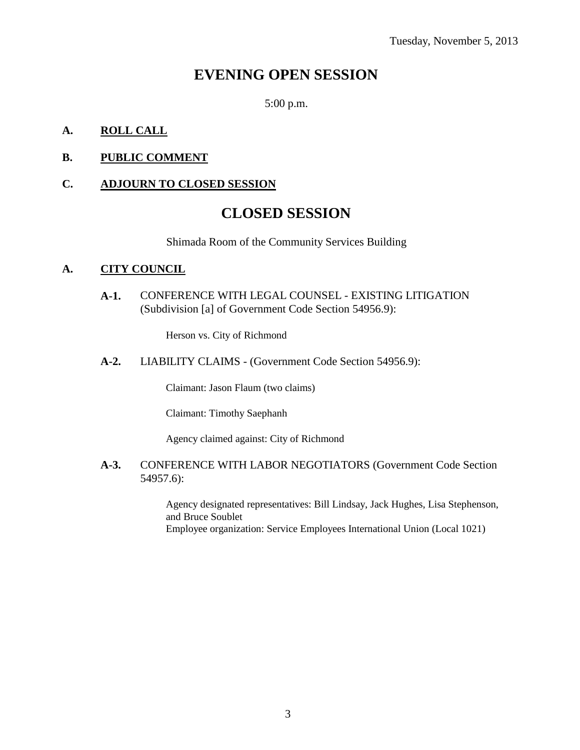# **EVENING OPEN SESSION**

5:00 p.m.

# **A. ROLL CALL**

# **B. PUBLIC COMMENT**

# **C. ADJOURN TO CLOSED SESSION**

# **CLOSED SESSION**

Shimada Room of the Community Services Building

# **A. CITY COUNCIL**

**A-1.** CONFERENCE WITH LEGAL COUNSEL - EXISTING LITIGATION (Subdivision [a] of Government Code Section 54956.9):

Herson vs. City of Richmond

**A-2.** LIABILITY CLAIMS - (Government Code Section 54956.9):

Claimant: Jason Flaum (two claims)

Claimant: Timothy Saephanh

Agency claimed against: City of Richmond

#### **A-3.** CONFERENCE WITH LABOR NEGOTIATORS (Government Code Section 54957.6):

Agency designated representatives: Bill Lindsay, Jack Hughes, Lisa Stephenson, and Bruce Soublet Employee organization: Service Employees International Union (Local 1021)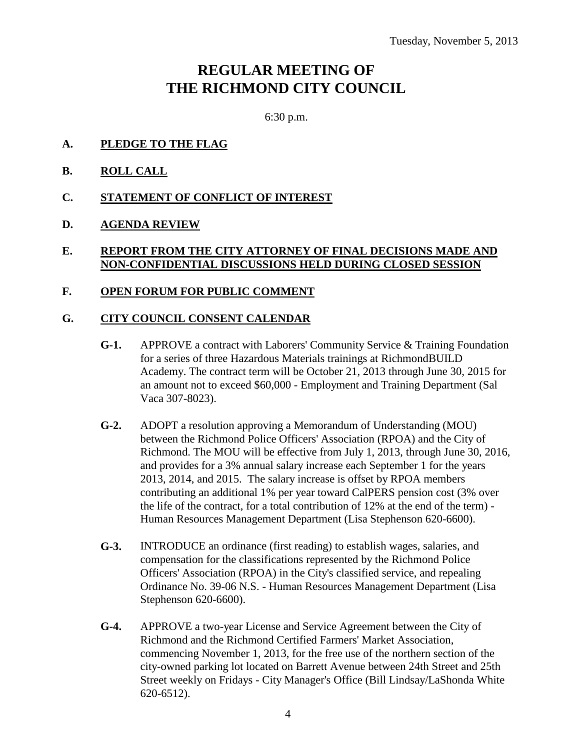# **REGULAR MEETING OF THE RICHMOND CITY COUNCIL**

6:30 p.m.

- **A. PLEDGE TO THE FLAG**
- **B. ROLL CALL**
- **C. STATEMENT OF CONFLICT OF INTEREST**
- **D. AGENDA REVIEW**

# **E. REPORT FROM THE CITY ATTORNEY OF FINAL DECISIONS MADE AND NON-CONFIDENTIAL DISCUSSIONS HELD DURING CLOSED SESSION**

# **F. OPEN FORUM FOR PUBLIC COMMENT**

# **G. CITY COUNCIL CONSENT CALENDAR**

- **G-1.** APPROVE a contract with Laborers' Community Service & Training Foundation for a series of three Hazardous Materials trainings at RichmondBUILD Academy. The contract term will be October 21, 2013 through June 30, 2015 for an amount not to exceed \$60,000 - Employment and Training Department (Sal Vaca 307-8023).
- **G-2.** ADOPT a resolution approving a Memorandum of Understanding (MOU) between the Richmond Police Officers' Association (RPOA) and the City of Richmond. The MOU will be effective from July 1, 2013, through June 30, 2016, and provides for a 3% annual salary increase each September 1 for the years 2013, 2014, and 2015. The salary increase is offset by RPOA members contributing an additional 1% per year toward CalPERS pension cost (3% over the life of the contract, for a total contribution of 12% at the end of the term) - Human Resources Management Department (Lisa Stephenson 620-6600).
- **G-3.** INTRODUCE an ordinance (first reading) to establish wages, salaries, and compensation for the classifications represented by the Richmond Police Officers' Association (RPOA) in the City's classified service, and repealing Ordinance No. 39-06 N.S. - Human Resources Management Department (Lisa Stephenson 620-6600).
- **G-4.** APPROVE a two-year License and Service Agreement between the City of Richmond and the Richmond Certified Farmers' Market Association, commencing November 1, 2013, for the free use of the northern section of the city-owned parking lot located on Barrett Avenue between 24th Street and 25th Street weekly on Fridays - City Manager's Office (Bill Lindsay/LaShonda White 620-6512).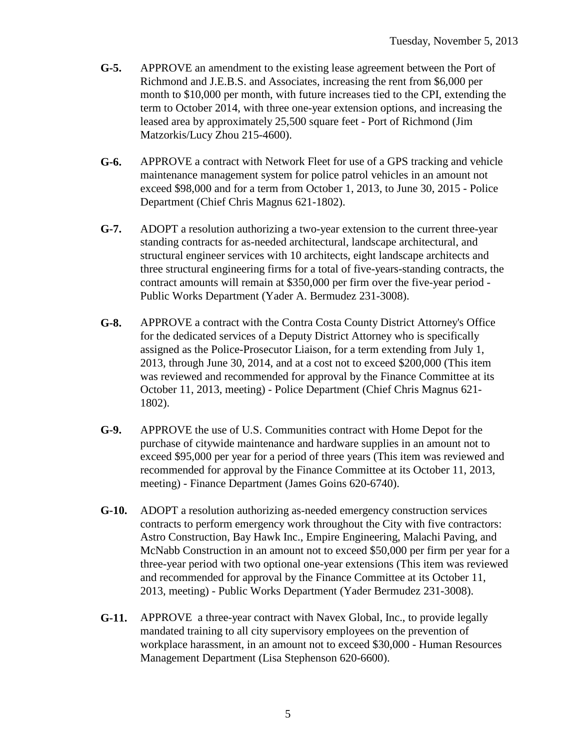- **G-5.** APPROVE an amendment to the existing lease agreement between the Port of Richmond and J.E.B.S. and Associates, increasing the rent from \$6,000 per month to \$10,000 per month, with future increases tied to the CPI, extending the term to October 2014, with three one-year extension options, and increasing the leased area by approximately 25,500 square feet - Port of Richmond (Jim Matzorkis/Lucy Zhou 215-4600).
- **G-6.** APPROVE a contract with Network Fleet for use of a GPS tracking and vehicle maintenance management system for police patrol vehicles in an amount not exceed \$98,000 and for a term from October 1, 2013, to June 30, 2015 - Police Department (Chief Chris Magnus 621-1802).
- **G-7.** ADOPT a resolution authorizing a two-year extension to the current three-year standing contracts for as-needed architectural, landscape architectural, and structural engineer services with 10 architects, eight landscape architects and three structural engineering firms for a total of five-years-standing contracts, the contract amounts will remain at \$350,000 per firm over the five-year period - Public Works Department (Yader A. Bermudez 231-3008).
- **G-8.** APPROVE a contract with the Contra Costa County District Attorney's Office for the dedicated services of a Deputy District Attorney who is specifically assigned as the Police-Prosecutor Liaison, for a term extending from July 1, 2013, through June 30, 2014, and at a cost not to exceed \$200,000 (This item was reviewed and recommended for approval by the Finance Committee at its October 11, 2013, meeting) - Police Department (Chief Chris Magnus 621- 1802).
- **G-9.** APPROVE the use of U.S. Communities contract with Home Depot for the purchase of citywide maintenance and hardware supplies in an amount not to exceed \$95,000 per year for a period of three years (This item was reviewed and recommended for approval by the Finance Committee at its October 11, 2013, meeting) - Finance Department (James Goins 620-6740).
- **G-10.** ADOPT a resolution authorizing as-needed emergency construction services contracts to perform emergency work throughout the City with five contractors: Astro Construction, Bay Hawk Inc., Empire Engineering, Malachi Paving, and McNabb Construction in an amount not to exceed \$50,000 per firm per year for a three-year period with two optional one-year extensions (This item was reviewed and recommended for approval by the Finance Committee at its October 11, 2013, meeting) - Public Works Department (Yader Bermudez 231-3008).
- **G-11.** APPROVE a three-year contract with Navex Global, Inc., to provide legally mandated training to all city supervisory employees on the prevention of workplace harassment, in an amount not to exceed \$30,000 - Human Resources Management Department (Lisa Stephenson 620-6600).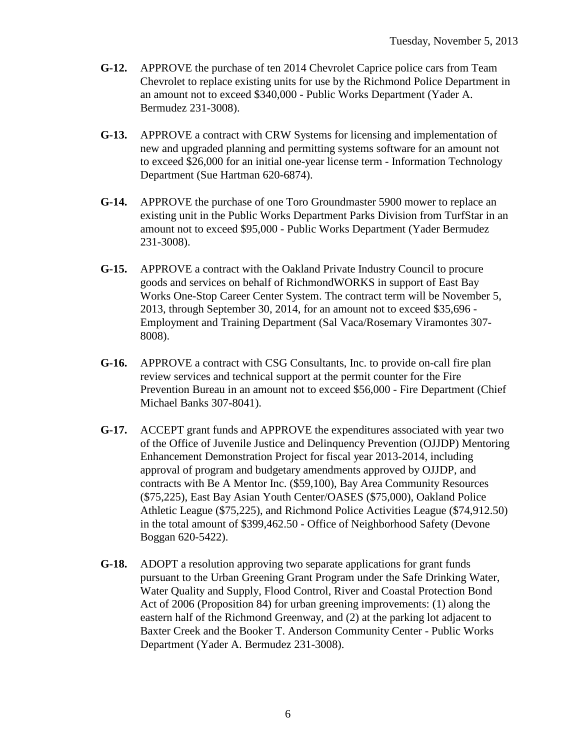- **G-12.** APPROVE the purchase of ten 2014 Chevrolet Caprice police cars from Team Chevrolet to replace existing units for use by the Richmond Police Department in an amount not to exceed \$340,000 - Public Works Department (Yader A. Bermudez 231-3008).
- **G-13.** APPROVE a contract with CRW Systems for licensing and implementation of new and upgraded planning and permitting systems software for an amount not to exceed \$26,000 for an initial one-year license term - Information Technology Department (Sue Hartman 620-6874).
- **G-14.** APPROVE the purchase of one Toro Groundmaster 5900 mower to replace an existing unit in the Public Works Department Parks Division from TurfStar in an amount not to exceed \$95,000 - Public Works Department (Yader Bermudez 231-3008).
- **G-15.** APPROVE a contract with the Oakland Private Industry Council to procure goods and services on behalf of RichmondWORKS in support of East Bay Works One-Stop Career Center System. The contract term will be November 5, 2013, through September 30, 2014, for an amount not to exceed \$35,696 - Employment and Training Department (Sal Vaca/Rosemary Viramontes 307- 8008).
- **G-16.** APPROVE a contract with CSG Consultants, Inc. to provide on-call fire plan review services and technical support at the permit counter for the Fire Prevention Bureau in an amount not to exceed \$56,000 - Fire Department (Chief Michael Banks 307-8041).
- **G-17.** ACCEPT grant funds and APPROVE the expenditures associated with year two of the Office of Juvenile Justice and Delinquency Prevention (OJJDP) Mentoring Enhancement Demonstration Project for fiscal year 2013-2014, including approval of program and budgetary amendments approved by OJJDP, and contracts with Be A Mentor Inc. (\$59,100), Bay Area Community Resources (\$75,225), East Bay Asian Youth Center/OASES (\$75,000), Oakland Police Athletic League (\$75,225), and Richmond Police Activities League (\$74,912.50) in the total amount of \$399,462.50 - Office of Neighborhood Safety (Devone Boggan 620-5422).
- **G-18.** ADOPT a resolution approving two separate applications for grant funds pursuant to the Urban Greening Grant Program under the Safe Drinking Water, Water Quality and Supply, Flood Control, River and Coastal Protection Bond Act of 2006 (Proposition 84) for urban greening improvements: (1) along the eastern half of the Richmond Greenway, and (2) at the parking lot adjacent to Baxter Creek and the Booker T. Anderson Community Center - Public Works Department (Yader A. Bermudez 231-3008).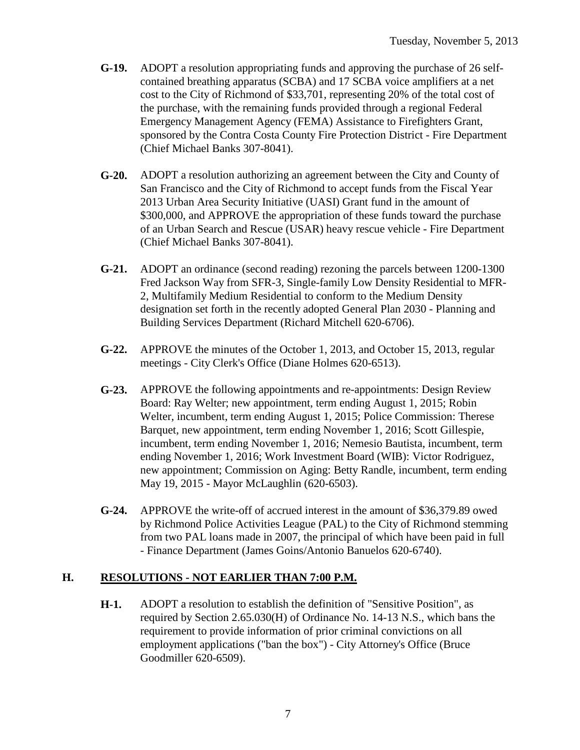- **G-19.** ADOPT a resolution appropriating funds and approving the purchase of 26 selfcontained breathing apparatus (SCBA) and 17 SCBA voice amplifiers at a net cost to the City of Richmond of \$33,701, representing 20% of the total cost of the purchase, with the remaining funds provided through a regional Federal Emergency Management Agency (FEMA) Assistance to Firefighters Grant, sponsored by the Contra Costa County Fire Protection District - Fire Department (Chief Michael Banks 307-8041).
- **G-20.** ADOPT a resolution authorizing an agreement between the City and County of San Francisco and the City of Richmond to accept funds from the Fiscal Year 2013 Urban Area Security Initiative (UASI) Grant fund in the amount of \$300,000, and APPROVE the appropriation of these funds toward the purchase of an Urban Search and Rescue (USAR) heavy rescue vehicle - Fire Department (Chief Michael Banks 307-8041).
- **G-21.** ADOPT an ordinance (second reading) rezoning the parcels between 1200-1300 Fred Jackson Way from SFR-3, Single-family Low Density Residential to MFR-2, Multifamily Medium Residential to conform to the Medium Density designation set forth in the recently adopted General Plan 2030 - Planning and Building Services Department (Richard Mitchell 620-6706).
- **G-22.** APPROVE the minutes of the October 1, 2013, and October 15, 2013, regular meetings - City Clerk's Office (Diane Holmes 620-6513).
- **G-23.** APPROVE the following appointments and re-appointments: Design Review Board: Ray Welter; new appointment, term ending August 1, 2015; Robin Welter, incumbent, term ending August 1, 2015; Police Commission: Therese Barquet, new appointment, term ending November 1, 2016; Scott Gillespie, incumbent, term ending November 1, 2016; Nemesio Bautista, incumbent, term ending November 1, 2016; Work Investment Board (WIB): Victor Rodriguez, new appointment; Commission on Aging: Betty Randle, incumbent, term ending May 19, 2015 - Mayor McLaughlin (620-6503).
- **G-24.** APPROVE the write-off of accrued interest in the amount of \$36,379.89 owed by Richmond Police Activities League (PAL) to the City of Richmond stemming from two PAL loans made in 2007, the principal of which have been paid in full - Finance Department (James Goins/Antonio Banuelos 620-6740).

# **H. RESOLUTIONS - NOT EARLIER THAN 7:00 P.M.**

**H-1.** ADOPT a resolution to establish the definition of "Sensitive Position", as required by Section 2.65.030(H) of Ordinance No. 14-13 N.S., which bans the requirement to provide information of prior criminal convictions on all employment applications ("ban the box") - City Attorney's Office (Bruce Goodmiller 620-6509).